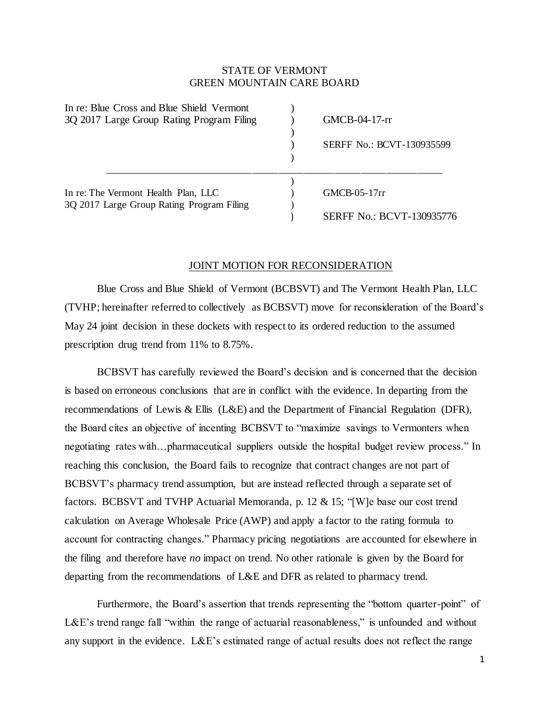## STATE OF VERMONT GREEN MOUNTAIN CARE BOARD

| In re: Blue Cross and Blue Shield Vermont |                                  |
|-------------------------------------------|----------------------------------|
| 3Q 2017 Large Group Rating Program Filing | GMCB-04-17-rr                    |
|                                           |                                  |
|                                           | <b>SERFF No.: BCVT-130935599</b> |
|                                           |                                  |
|                                           |                                  |
| In re: The Vermont Health Plan, LLC       | GMCB-05-17rr                     |
| 3Q 2017 Large Group Rating Program Filing |                                  |
|                                           | <b>SERFF No.: BCVT-130935776</b> |

## JOINT MOTION FOR RECONSIDERATION

Blue Cross and Blue Shield of Vermont (BCBSVT) and The Vermont Health Plan, LLC (TVHP; hereinafter referred to collectively as BCBSVT) move for reconsideration of the Board's May 24 joint decision in these dockets with respect to its ordered reduction to the assumed prescription drug trend from 11% to 8.75%.

BCBSVT has carefully reviewed the Board's decision and is concerned that the decision is based on erroneous conclusions that are in conflict with the evidence. In departing from the recommendations of Lewis & Ellis (L&E) and the Department of Financial Regulation (DFR), the Board cites an objective of incenting BCBSVT to "maximize savings to Vermonters when negotiating rates with…pharmaceutical suppliers outside the hospital budget review process." In reaching this conclusion, the Board fails to recognize that contract changes are not part of BCBSVT's pharmacy trend assumption, but are instead reflected through a separate set of factors. BCBSVT and TVHP Actuarial Memoranda, p. 12 & 15; "[W]e base our cost trend calculation on Average Wholesale Price (AWP) and apply a factor to the rating formula to account for contracting changes." Pharmacy pricing negotiations are accounted for elsewhere in the filing and therefore have *no* impact on trend. No other rationale is given by the Board for departing from the recommendations of L&E and DFR as related to pharmacy trend.

Furthermore, the Board's assertion that trends representing the "bottom quarter-point" of L&E's trend range fall "within the range of actuarial reasonableness," is unfounded and without any support in the evidence. L&E's estimated range of actual results does not reflect the range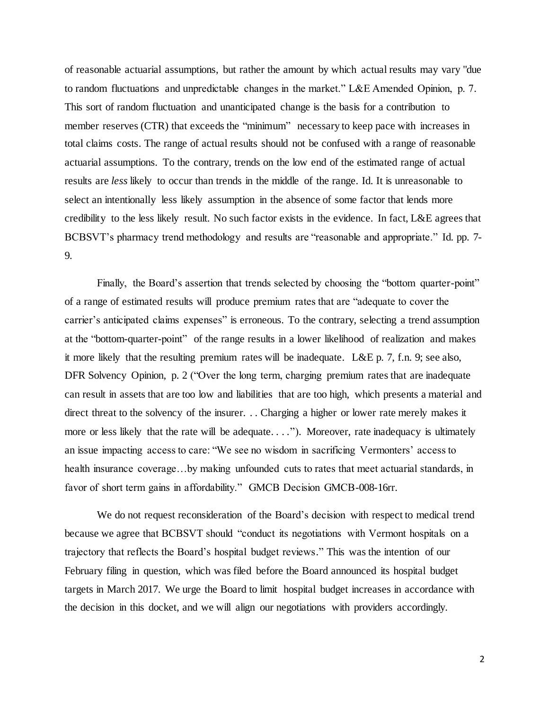of reasonable actuarial assumptions, but rather the amount by which actual results may vary "due to random fluctuations and unpredictable changes in the market." L&E Amended Opinion, p. 7. This sort of random fluctuation and unanticipated change is the basis for a contribution to member reserves (CTR) that exceeds the "minimum" necessary to keep pace with increases in total claims costs. The range of actual results should not be confused with a range of reasonable actuarial assumptions. To the contrary, trends on the low end of the estimated range of actual results are *less* likely to occur than trends in the middle of the range. Id. It is unreasonable to select an intentionally less likely assumption in the absence of some factor that lends more credibility to the less likely result. No such factor exists in the evidence. In fact, L&E agrees that BCBSVT's pharmacy trend methodology and results are "reasonable and appropriate." Id. pp. 7- 9.

Finally, the Board's assertion that trends selected by choosing the "bottom quarter-point" of a range of estimated results will produce premium rates that are "adequate to cover the carrier's anticipated claims expenses" is erroneous. To the contrary, selecting a trend assumption at the "bottom-quarter-point" of the range results in a lower likelihood of realization and makes it more likely that the resulting premium rates will be inadequate. L&E p. 7, f.n. 9; see also, DFR Solvency Opinion, p. 2 ("Over the long term, charging premium rates that are inadequate can result in assets that are too low and liabilities that are too high, which presents a material and direct threat to the solvency of the insurer. . . Charging a higher or lower rate merely makes it more or less likely that the rate will be adequate...."). Moreover, rate inadequacy is ultimately an issue impacting access to care: "We see no wisdom in sacrificing Vermonters' access to health insurance coverage...by making unfounded cuts to rates that meet actuarial standards, in favor of short term gains in affordability." GMCB Decision GMCB-008-16rr.

We do not request reconsideration of the Board's decision with respect to medical trend because we agree that BCBSVT should "conduct its negotiations with Vermont hospitals on a trajectory that reflects the Board's hospital budget reviews." This was the intention of our February filing in question, which was filed before the Board announced its hospital budget targets in March 2017. We urge the Board to limit hospital budget increases in accordance with the decision in this docket, and we will align our negotiations with providers accordingly.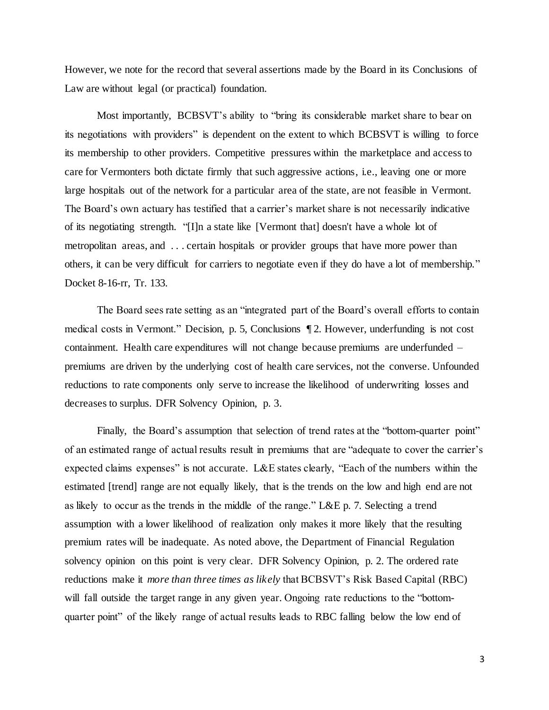However, we note for the record that several assertions made by the Board in its Conclusions of Law are without legal (or practical) foundation.

Most importantly, BCBSVT's ability to "bring its considerable market share to bear on its negotiations with providers" is dependent on the extent to which BCBSVT is willing to force its membership to other providers. Competitive pressures within the marketplace and access to care for Vermonters both dictate firmly that such aggressive actions, i.e., leaving one or more large hospitals out of the network for a particular area of the state, are not feasible in Vermont. The Board's own actuary has testified that a carrier's market share is not necessarily indicative of its negotiating strength. "[I]n a state like [Vermont that] doesn't have a whole lot of metropolitan areas, and . . . certain hospitals or provider groups that have more power than others, it can be very difficult for carriers to negotiate even if they do have a lot of membership." Docket 8-16-rr, Tr. 133.

The Board sees rate setting as an "integrated part of the Board's overall efforts to contain medical costs in Vermont." Decision, p. 5, Conclusions ¶ 2. However, underfunding is not cost containment. Health care expenditures will not change because premiums are underfunded – premiums are driven by the underlying cost of health care services, not the converse. Unfounded reductions to rate components only serve to increase the likelihood of underwriting losses and decreases to surplus. DFR Solvency Opinion, p. 3.

Finally, the Board's assumption that selection of trend rates at the "bottom-quarter point" of an estimated range of actual results result in premiums that are "adequate to cover the carrier's expected claims expenses" is not accurate. L&E states clearly, "Each of the numbers within the estimated [trend] range are not equally likely, that is the trends on the low and high end are not as likely to occur as the trends in the middle of the range." L&E p. 7. Selecting a trend assumption with a lower likelihood of realization only makes it more likely that the resulting premium rates will be inadequate. As noted above, the Department of Financial Regulation solvency opinion on this point is very clear. DFR Solvency Opinion, p. 2. The ordered rate reductions make it *more than three times as likely* that BCBSVT's Risk Based Capital (RBC) will fall outside the target range in any given year. Ongoing rate reductions to the "bottomquarter point" of the likely range of actual results leads to RBC falling below the low end of